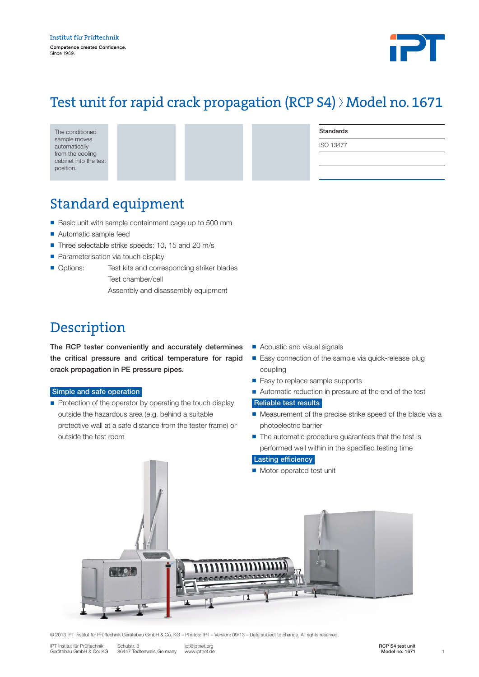

# Test unit for rapid crack propagation (RCP S4) > Model no. 1671

| The conditioned                           |  | Standards        |
|-------------------------------------------|--|------------------|
| sample moves<br>automatically             |  | <b>ISO 13477</b> |
| from the cooling<br>cabinet into the test |  |                  |
| position.                                 |  |                  |

# Standard equipment

- Basic unit with sample containment cage up to 500 mm
- Automatic sample feed
- Three selectable strike speeds: 10, 15 and 20 m/s
- **Parameterisation via touch display**
- Options: Test kits and corresponding striker blades Test chamber/cell
	- Assembly and disassembly equipment

## Description

The RCP tester conveniently and accurately determines the critical pressure and critical temperature for rapid crack propagation in PE pressure pipes.

#### Simple and safe operation

- Protection of the operator by operating the touch display outside the hazardous area (e.g. behind a suitable protective wall at a safe distance from the tester frame) or outside the test room
- Acoustic and visual signals
- Easy connection of the sample via quick-release plug coupling
- Easy to replace sample supports
- Automatic reduction in pressure at the end of the test

#### Reliable test results

- Measurement of the precise strike speed of the blade via a photoelectric barrier
- $\blacksquare$  The automatic procedure guarantees that the test is performed well within in the specified testing time

### Lasting efficiency

**n** Motor-operated test unit



© 2013 IPT Institut für Prüftechnik Gerätebau GmbH & Co. KG – Photos: IPT – Version: 09/13 – Data subject to change. All rights reserved.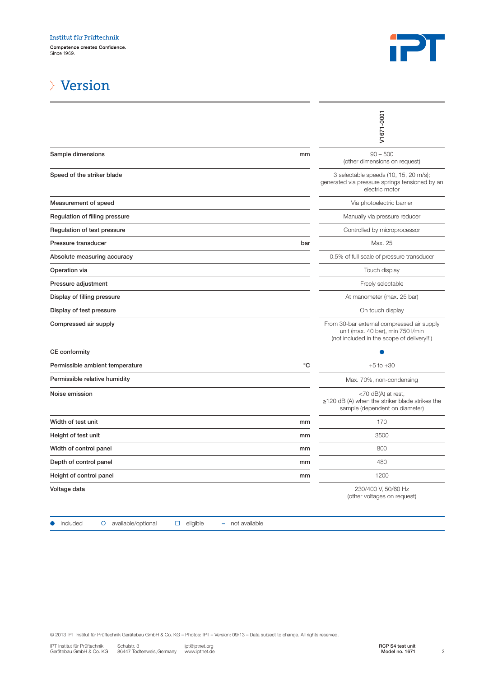

### Version

|                                                                                                                                                                                                                                                                                     |             | V1671-0001                                                                                                                    |
|-------------------------------------------------------------------------------------------------------------------------------------------------------------------------------------------------------------------------------------------------------------------------------------|-------------|-------------------------------------------------------------------------------------------------------------------------------|
| Sample dimensions                                                                                                                                                                                                                                                                   | mm          | $90 - 500$<br>(other dimensions on request)                                                                                   |
| Speed of the striker blade                                                                                                                                                                                                                                                          |             | 3 selectable speeds (10, 15, 20 m/s);<br>generated via pressure springs tensioned by an<br>electric motor                     |
| Measurement of speed                                                                                                                                                                                                                                                                |             | Via photoelectric barrier                                                                                                     |
| Regulation of filling pressure                                                                                                                                                                                                                                                      |             | Manually via pressure reducer                                                                                                 |
| Regulation of test pressure                                                                                                                                                                                                                                                         |             | Controlled by microprocessor                                                                                                  |
| Pressure transducer                                                                                                                                                                                                                                                                 | bar         | Max. 25                                                                                                                       |
| Absolute measuring accuracy                                                                                                                                                                                                                                                         |             | 0.5% of full scale of pressure transducer                                                                                     |
| Operation via                                                                                                                                                                                                                                                                       |             | Touch display                                                                                                                 |
| Pressure adjustment                                                                                                                                                                                                                                                                 |             | Freely selectable                                                                                                             |
| Display of filling pressure                                                                                                                                                                                                                                                         |             | At manometer (max. 25 bar)                                                                                                    |
| Display of test pressure                                                                                                                                                                                                                                                            |             | On touch display                                                                                                              |
| Compressed air supply                                                                                                                                                                                                                                                               |             | From 30-bar external compressed air supply<br>unit (max. 40 bar), min 750 l/min<br>(not included in the scope of delivery!!!) |
| CE conformity                                                                                                                                                                                                                                                                       |             |                                                                                                                               |
| Permissible ambient temperature                                                                                                                                                                                                                                                     | $^{\circ}C$ | $+5$ to $+30$                                                                                                                 |
| Permissible relative humidity                                                                                                                                                                                                                                                       |             | Max. 70%, non-condensing                                                                                                      |
| Noise emission                                                                                                                                                                                                                                                                      |             | $<$ 70 dB(A) at rest,<br>$\geq$ 120 dB (A) when the striker blade strikes the<br>sample (dependent on diameter)               |
| Width of test unit                                                                                                                                                                                                                                                                  | mm          | 170                                                                                                                           |
| Height of test unit                                                                                                                                                                                                                                                                 | mm          | 3500                                                                                                                          |
| Width of control panel                                                                                                                                                                                                                                                              | mm          | 800                                                                                                                           |
| Depth of control panel                                                                                                                                                                                                                                                              | mm          | 480                                                                                                                           |
| Height of control panel                                                                                                                                                                                                                                                             | mm          | 1200                                                                                                                          |
| Voltage data                                                                                                                                                                                                                                                                        |             | 230/400 V, 50/60 Hz<br>(other voltages on request)                                                                            |
| included<br>available/optional<br>$\Box$ eligible<br>- not available<br>$\circ$                                                                                                                                                                                                     |             |                                                                                                                               |
| © 2013 IPT Institut für Prüftechnik Gerätebau GmbH & Co. KG - Photos: IPT - Version: 09/13 - Data subject to change. All rights reserved.<br>IPT Institut für Prüftechnik<br>Schulstr. 3<br>ipt@iptnet.org<br>86447 Todtenweis, Germany<br>www.iptnet.de<br>Gerätebau GmbH & Co. KG |             | RCP S4 test unit<br>$\overline{c}$<br>Model no. 1671                                                                          |